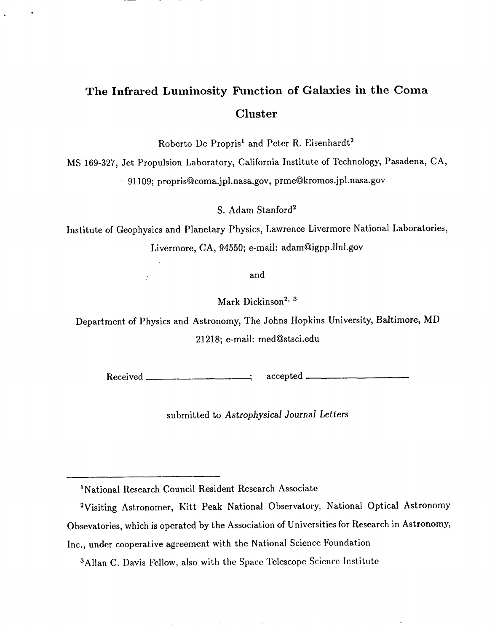# **The Infrared Luminosity Function of Galaxies in the Coma Cluster**

.

.

Roberto De Propris<sup>1</sup> and Peter R. Eisenhardt<sup>2</sup>

MS 169-327, Jet Propulsion Laboratory, California Institute of Technology, Pasadena, CA, 91 I09; propris@coma.jpl. nasa.gov, prme@kromos.jpl .nasa.gov

S. Adam Stanford2

Institute of Geophysics and Planetary Physics, Lawrence Livermore National Laboratorie Livermore, CA, 94550; e-mail: adam@igpp.llnl.gov

and

Mark Dickinson<sup>2, 3</sup>

Department of Physics and Astronomy, The Johns Hopkins University, Baltimore, MD 21218; e-mail: med@stsci.edu

Received 1 accepted

submitted to Astrophysical Journal Letters

<sup>3</sup>Allan C. Davis Fellow, also with the Space Telescope Science Institute

<sup>1</sup>National Research Council Resident Research Associate

<sup>2</sup>Visiting Astronomer, Kitt Peak National Observatory, National Optical Astronomy Obsevatories, which is operated by the Association of Universities for Research in Astronomy, Inc., under cooperative agreement with the National Science Foundation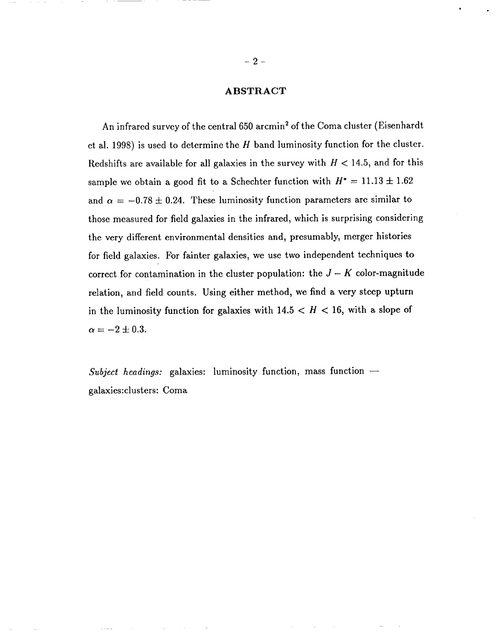# **ABSTRACT**

An infrared survey of the central 650 arcmin2 of the Coma cluster (Eisenhardt et al. 1998) is used to determine the  $H$  band luminosity function for the cluster. Redshifts are available for all galaxies in the survey with  $H < 14.5$ , and for this sample we obtain a good fit to a Schechter function with  $H^* = 11.13 \pm 1.62$ and  $\alpha = -0.78 \pm 0.24$ . These luminosity function parameters are similar to those measured for field galaxies in the infrared, which is surprising considering the very different environmental densities and, presumably, merger histories for field galaxies. For fainter galaxies, we use two independent techniques to correct for contamination in the cluster population: the  $J - K$  color-magnitude relation, and field counts. Using either method, we find a very steep upturn in the luminosity function for galaxies with  $14.5 < H < 16$ , with a slope of  $\alpha = -2 \pm 0.3$ .

*Subject headings:* galaxies: luminosity function, mass function galaxies: clusters: Coma

,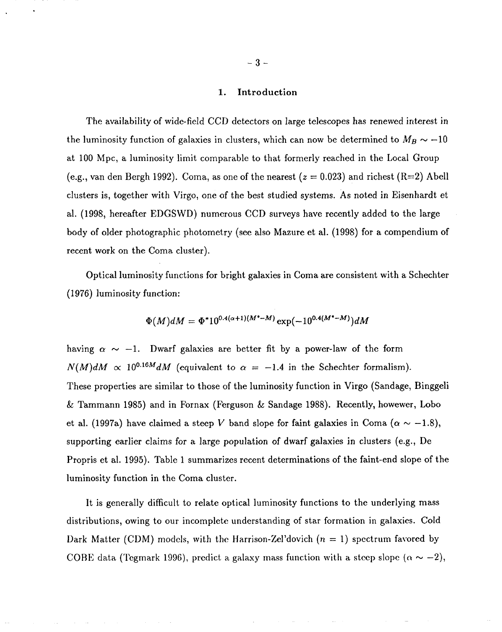### 1. Introduction

The availability of wide-field CCD detectors on large telescopes has renewed interest in the luminosity function of galaxies in clusters, which can now be determined to  $M_B \sim -10$ at 100 Mpc, a luminosity limit comparable to that formerly reached in the Local Group (e.g., van den Bergh 1992). Coma, as one of the nearest  $(z = 0.023)$  and richest  $(R=2)$  Abell clusters is, together with Virgo, one of the best studied systems. As noted in Eisenhardt et al. (1998, hereafter EDGSWD) numerous CCD surveys have recently added to the large body of older photographic photometry (see also Mazure et al. (1998) for a compendium of recent work on the Coma cluster).

Optical luminosity functions for bright galaxies in Coma are consistent with a Schechter (1976) luminosity function:

$$
\Phi(M)dM = \Phi^* 10^{0.4(\alpha+1)(M^* - M)} \exp(-10^{0.4(M^* - M)}) dM
$$

having  $\alpha \sim -1$ . Dwarf galaxies are better fit by a power-law of the form  $N(M)dM \propto 10^{0.16M}dM$  (equivalent to  $\alpha = -1.4$  in the Schechter formalism). These properties are similar to those of the luminosity function in Virgo (Sandage, Binggeli & Tammann 1985) and in Fornax (Ferguson & Sandage 1988). Recently, howewer, Lobo et al. (1997a) have claimed a steep *V* band slope for faint galaxies in Coma ( $\alpha \sim -1.8$ ), supporting earlier claims for a large population of dwarf galaxies in clusters (e.g., De Propris et al. 1995). Table 1 summarizes recent determinations of the faint-end slope of the luminosity function in the Coma cluster.

It is generally difficult to relate optical luminosity functions to the underlying mass distributions, owing to our incomplete understanding of star formation in galaxies. Cold Dark Matter (CDM) models, with the Harrison-Zel'dovich  $(n = 1)$  spectrum favored by COBE data (Tegmark 1996), predict a galaxy mass function with a steep slope ( $\alpha \sim -2$ ),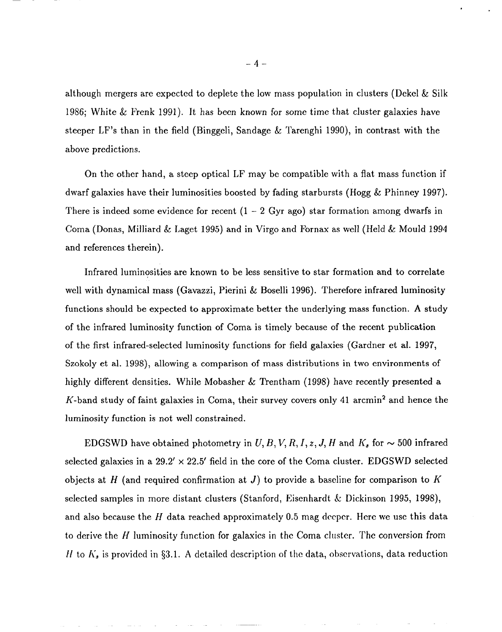although mergers are expected to deplete the low mass population in clusters (Dekel & Silk 1986; White & Frenk 1991). It has been known for some time that cluster galaxies have steeper LF's than in the field (Binggeli, Sandage & Tarenghi 1990), in contrast with the above predictions.

On the other hand, a steep optical LF may be compatible with a flat mass function if dwarf galaxies have their luminosities boosted by fading starbursts (Hogg & Phinney 1997). There is indeed some evidence for recent  $(1 - 2 \text{ Gyr ago})$  star formation among dwarfs in Coma (Donas, Milliard & Laget 1995) and in Virgo and Fornax as well (Held& Mould 1994 and references therein).

Infrared luminosities are known to be less sensitive to star formation and to correlate well with dynamical mass (Gavazzi, Pierini & Boselli 1996). Therefore infrared luminosity functions should be expected to approximate better the underlying mass function. A study of the infrared luminosity function of Coma is timely because of the recent publication of the first infrared-selected luminosity functions for field galaxies (Gardner et al. 1997, Szokoly et al. 1998), allowing a comparison of mass distributions in two environments of highly different densities. While Mobasher & Trentham (1998) have recently presented a K-band study of faint galaxies in Coma, their survey covers only 41 arcmin<sup>2</sup> and hence the luminosity function is not well constrained.

EDGSWD have obtained photometry in  $U, B, V, R, I, z, J, H$  and  $K_s$  for  $\sim$  500 infrared selected galaxies in a  $29.2' \times 22.5'$  field in the core of the Coma cluster. EDGSWD selected objects at H (and required confirmation at J) to provide a baseline for comparison to  $K$ selected samples in more distant clusters (Stanford, Eisenhardt & Dickinson 1995, 1998), and also because the H data reached approximately 0.5 mag deeper. Here we use this data to derive the H luminosity function for galaxies in the Coma cluster. The conversion from H to  $K_s$  is provided in §3.1. A detailed description of the data, observations, data reduction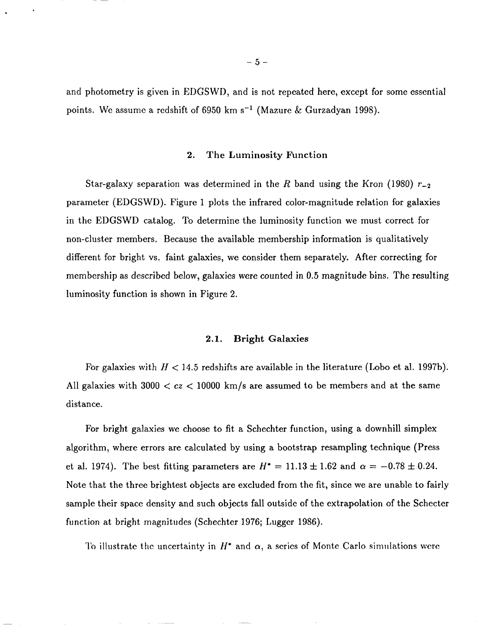and photometry is given in EDGSWD, and is not repeated here, except for some essential points. We assume a redshift of 6950 km  $s^{-1}$  (Mazure & Gurzadyan 1998).

#### 2. **The Luminosity Function**

Star-galaxy separation was determined in the R band using the Kron (1980)  $r_{-2}$ parameter (EDGSWD). Figure 1 plots the infrared color-magnitude relation for galaxies in the EDGSWD catalog. To determine the luminosity function we must correct for non-cluster members. Because the available membership information is qualitatively different for bright vs. faint galaxies, we consider them separately. After correcting for membership as described below, galaxies were counted in 0.5 magnitude bins. The resulting luminosity function is shown in Figure 2.

#### 2.1. Bright Galaxies

For galaxies with  $H < 14.5$  redshifts are available in the literature (Lobo et al. 1997b). All galaxies with  $3000 < cz < 10000$  km/s are assumed to be members and at the same distance.

For bright galaxies we choose to fit a Schechter function, using a downhill simplex algorithm, where errors are calculated by using a bootstrap resampling technique (Press et al. 1974). The best fitting parameters are  $H^* = 11.13 \pm 1.62$  and  $\alpha = -0.78 \pm 0.24$ . Note that the three brightest objects are excluded from the fit, since we are unable to fairly sample their space density and such objects fall outside of the extrapolation of the Schecter function at bright magnitudes (Schechter 1976; Lugger 1986).

To illustrate the uncertainty in  $H^*$  and  $\alpha$ , a series of Monte Carlo simulations were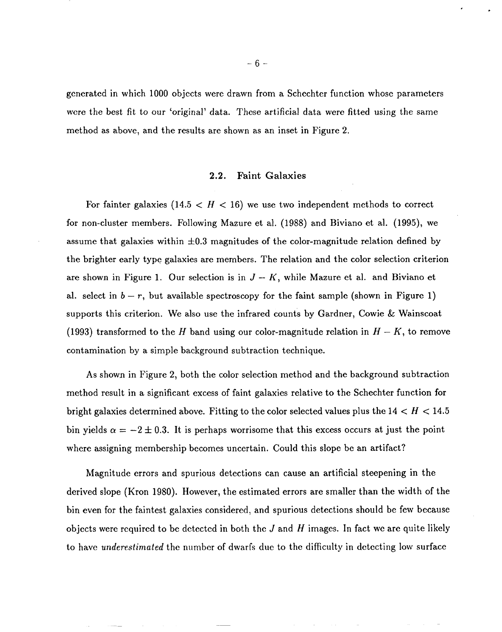generated in which 1000 objects were drawn from a Schechter function whose parameters were the best fit to our 'original' data. These artificial data were fitted using the same method as above, and the results are shown as an inset in Figure 2.

## 2.2. **Faint Galaxies**

For fainter galaxies  $(14.5 < H < 16)$  we use two independent methods to correct for non-cluster members. Following Mazure et al. (1988) and Biviano et al. (1995), we assume that galaxies within  $\pm 0.3$  magnitudes of the color-magnitude relation defined by the brighter early type galaxies are members. The relation and the color selection criterion are shown in Figure 1. Our selection is in  $J - K$ , while Mazure et al. and Biviano et al. select in  $b - r$ , but available spectroscopy for the faint sample (shown in Figure 1) supports this criterion. We also use the infrared counts by Gardner, Cowie & Wainscoat (1993) transformed to the *H* band using our color-magnitude relation in  $H - K$ , to remove contamination by a simple background subtraction technique.

As shown in Figure 2, both the color selection method and the background subtraction method result in a significant excess of faint galaxies relative to the Schechter function for bright galaxies determined above. Fitting to the color selected values plus the 14< *H <14.5* bin yields  $\alpha = -2 \pm 0.3$ . It is perhaps worrisome that this excess occurs at just the point where assigning membership becomes uncertain. Could this slope be an artifact?

Magnitude errors and spurious detections can cause an artificial steepening in the derived slope (Kron 1980). However, the estimated errors are smaller than the width of the bin even for the faintest galaxies considered, and spurious detections should be few because objects were required to be detected in both the *J* and If images. In fact we are quite likely to have *underestimated* the number of dwarfs due to the difficulty in detecting low surface

.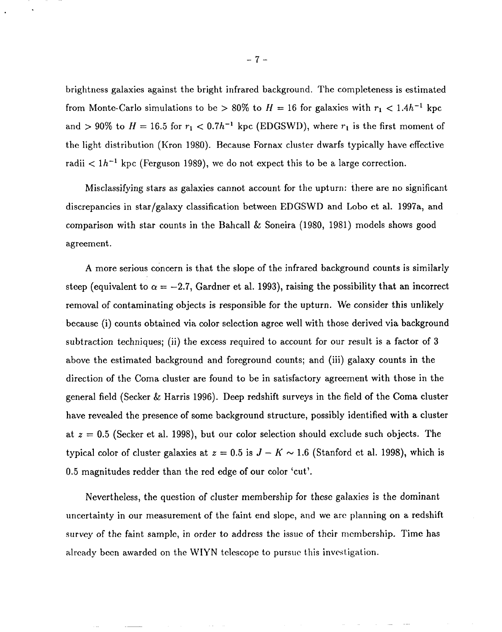brightness galaxies against the bright infrared background. The completeness is estimated from Monte-Carlo simulations to be > 80% to  $H=16$  for galaxies with  $r_1 < 1.4h^{-1}$  kpc and > 90% to  $H = 16.5$  for  $r_1 < 0.7h^{-1}$  kpc (EDGSWD), where  $r_1$  is the first moment of the light distribution (Kron 1980). Because Fornax cluster dwarfs typically have effective radii  $\lt 1h^{-1}$  kpc (Ferguson 1989), we do not expect this to be a large correction.

Misclassifying stars as galaxies cannot account for the upturn: there are no significant discrepancies in star/galaxy classification between EDGSWD and Lobo et al. 1997a, and comparison with star counts in the Bahcall & Soneira (1980, 1981) models shows good agreement.

A more serious concern is that the slope of the infrared background counts is similarly steep (equivalent to  $\alpha = -2.7$ , Gardner et al. 1993), raising the possibility that an incorrect removal of contaminating objects is responsible for the upturn, We consider this unlikely because (i) counts obtained via color selection agree well with those derived via background subtraction techniques; (ii) the excess required to account for our result is a factor of 3 above the estimated background and foreground counts; and (iii) galaxy counts in the direction of the Coma cluster are found to be in satisfactory agreement with those in the general field (Secker & Harris 1996). Deep redshift surveys in the field of the Coma cluster have revealed the presence of some background structure, possibly identified with a cluster at  $z = 0.5$  (Secker et al. 1998), but our color selection should exclude such objects. The typical color of cluster galaxies at  $z = 0.5$  is  $J - K \sim 1.6$  (Stanford et al. 1998), which is 0.5 magnitudes redder than the red edge of our color 'cut'.

Nevertheless, the question of cluster membership for these galaxies is the dominant uncertainty in our measurement of the faint end slope, and we are planning on a redshift survey of the faint sample, in order to address the issue of their membership. Time has already been awarded on the WIYN telescope to pursue this investigation.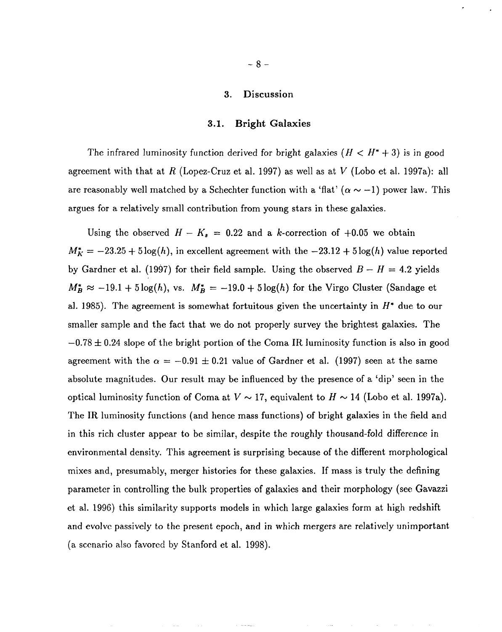# *3.* **Discussion**

## **3.1. Bright Galaxies**

The infrared luminosity function derived for bright galaxies  $(H < H^* + 3)$  is in good agreement with that at R (Lopez-Cruz et al. 1997) as well as at *V* (Lobo et al. 1997a): all are reasonably well matched by a Schechter function with a 'flat'  $(\alpha \sim -1)$  power law. This argues for a relatively small contribution from young stars in these galaxies.

Using the observed  $H - K_s = 0.22$  and a k-correction of  $+0.05$  we obtain  $M_K^* = -23.25 + 5 \log(h)$ , in excellent agreement with the  $-23.12 + 5 \log(h)$  value reported by Gardner et al. (1997) for their field sample. Using the observed  $B - H = 4.2$  yields  $M_B^* \approx -19.1 + 5 \log(h)$ , vs.  $M_B^* = -19.0 + 5 \log(h)$  for the Virgo Cluster (Sandage et al. 1985). The agreement is somewhat fortuitous given the uncertainty in  $H^*$  due to our smaller sample and the fact that we do not properly survey the brightest galaxies. The  $-0.78 \pm 0.24$  slope of the bright portion of the Coma IR luminosity function is also in good agreement with the  $\alpha = -0.91 \pm 0.21$  value of Gardner et al. (1997) seen at the same absolute magnitudes. Our result may be influenced by the presence of a 'dip' seen in the optical luminosity function of Coma at  $V \sim 17$ , equivalent to  $H \sim 14$  (Lobo et al. 1997a). The IR luminosity functions (and hence mass functions) of bright galaxies in the field and in this rich cluster appear to be similar, despite the roughly thousand-fold difference in environmental density. This agreement is surprising because of the different morphological mixes and, presumably, merger histories for these galaxies. If mass is truly the defining parameter in controlling the bulk properties of galaxies and their morphology (see Gavazzi et al. 1996) this similarity supports models in which large galaxies form at high redshift and evolve passively to the present epoch, and in which mergers are relatively unimportant (a scenario also favored by Stanford et al. 1998).

.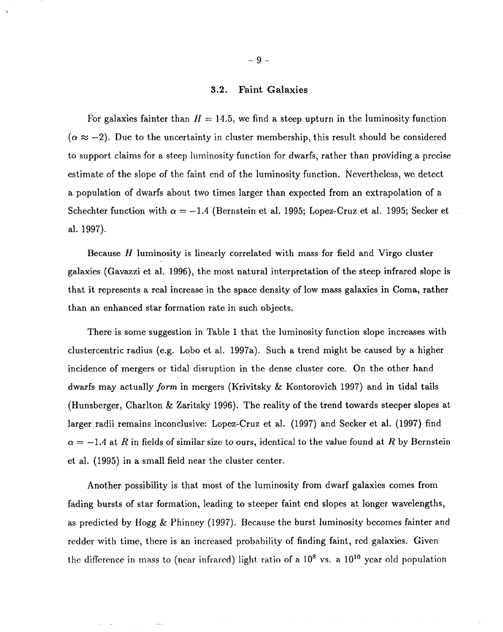# *3.2.* **Faint Galaxies**

For galaxies fainter than  $H = 14.5$ , we find a steep upturn in the luminosity function  $(\alpha \approx -2)$ . Due to the uncertainty in cluster membership, this result should be considered to support claims for a steep luminosity function for dwarfs, rather than providing a precise estimate of the slope of the faint end of the luminosity function. Nevertheless, we detect a population of dwarfs about two times larger than expected from an extrapolation of a Schechter function with  $\alpha = -1.4$  (Bernstein et al. 1995; Lopez-Cruz et al. 1995; Secker et al. 1997).

Because  $H$  luminosity is linearly correlated with mass for field and Virgo cluster galaxies (Gavazzi et al. 1996), the most natural interpretation of the steep infrared slope is that it represents a real increase in the space density of low mass galaxies in Coma, rather than an enhanced star formation rate in such objects.

There is some suggestion in Table 1 that the luminosity function slope increases with clustercentric radius (e.g. Lobo et al. 1997a). Such a trend might be caused by a higher incidence of mergers or tidal disruption in the dense cluster core. On the other hand dwarfs may actually *form* in mergers (Krivitsky & Kontorovich 1997) and in tidal tails (Hunsberger, Charlton & Zaritsky 1996). The reality of the trend towards steeper slopes at larger radii remains inconclusive: Lopez-Cruz et al. (1997) and Secker et al. (1997) find  $\alpha = -1.4$  at R in fields of similar size to ours, identical to the value found at R by Bernstein et al. (1995) in a small field near the cluster center.

Another possibility is that most of the luminosity from dwarf galaxies comes from fading bursts of star formation, leading to steeper faint end slopes at longer wavelengths, as predicted by Hogg & Phinney (1997). Because the burst luminosity becomes fainter and redder with time, there is an increased probability of finding faint, rcd galaxies. Given the difference in mass to (near infrared) light ratio of a  $10^8$  vs. a  $10^{10}$  year old population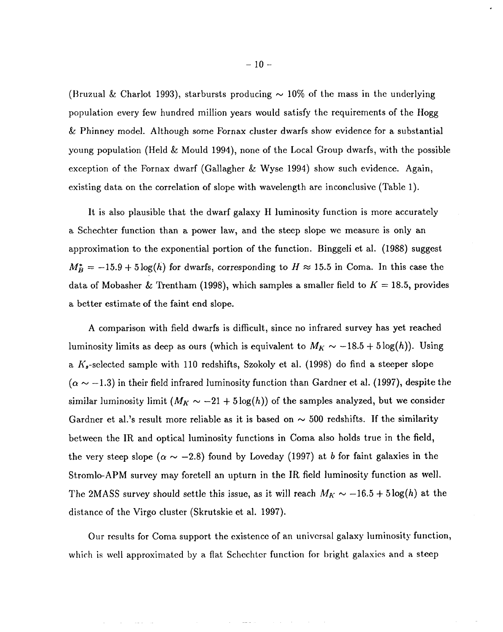(Bruzual & Charlot 1993), starbursts producing  $\sim 10\%$  of the mass in the underlying population every few hundred million years would satisfy the requirements of the Hogg  $&$  Phinney model. Although some Fornax cluster dwarfs show evidence for a substantial young population (Held & Mould 1994), none of the Local Group dwarfs, with the possible exception of the Fornax dwarf (Gallagher & Wyse 1994) show such evidence. Again, existing data on the correlation of slope with wavelength are inconclusive (Table 1).

It is also plausible that the dwarf galaxy H luminosity function is more accurately a Schechter function than a power law, and the steep slope we measure is only an approximation to the exponential portion of the function. Binggeli et al. (1988) suggest  $M_B^* = -15.9 + 5 \log(h)$  for dwarfs, corresponding to  $H \approx 15.5$  in Coma. In this case the data of Mobasher & Trentham (1998), which samples a smaller field to  $K = 18.5$ , provides a better estimate of the faint end slope.

A comparison with field dwarfs is difficult, since no infrared survey has yet reached luminosity limits as deep as ours (which is equivalent to  $M_K \sim -18.5 + 5 \log(h)$ ). Using a  $K_s$ -selected sample with 110 redshifts, Szokoly et al. (1998) do find a steeper slope  $(\alpha \sim -1.3)$  in their field infrared luminosity function than Gardner et al. (1997), despite the similar luminosity limit  $(M_K \sim -21 + 5 \log(h))$  of the samples analyzed, but we consider Gardner et al.'s result more reliable as it is based on  $\sim$  500 redshifts. If the similarity between the IR and optical luminosity functions in Coma also holds true in the field, the very steep slope ( $\alpha \sim -2.8$ ) found by Loveday (1997) at b for faint galaxies in the Stromlo-APM survey may foretell an upturn in the IR field luminosity function as well. The 2MASS survey should settle this issue, as it will reach  $M_K \sim -16.5 + 5 \log(h)$  at the distance of the Virgo cluster (Skrutskie et al. 1997).

Our results for Coma support the existcncc of an universal galaxy luminosity function, which is well approximated by a flat Schechter function for bright galaxies and a steep

**Contract Contract**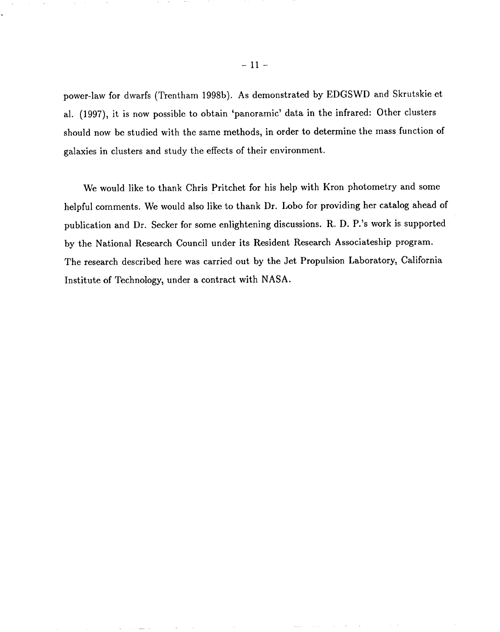power-law for dwarfs (Trentham 1998b). As demonstrated by EDGSWD and Skrutskie et al. (1997), it is now possible to obtain 'panoramic' data in the infrared: Other clusters should now be studied with the same methods, in order to determine the mass function of galaxies in clusters and study the effects of their environment.

We would like to thank Chris Pritchet for his help with Kron photometry and some helpful comments. We would also like to thank Dr. Lobo for providing her catalog ahead of publication and Dr. Seeker for some enlightening discussions. R. D. P.'s work is supported by the National Research Council under its Resident Research Associateship program. The research described here was carried out by the Jet Propulsion Laboratory, California Institute of Technology, under a contract with NASA.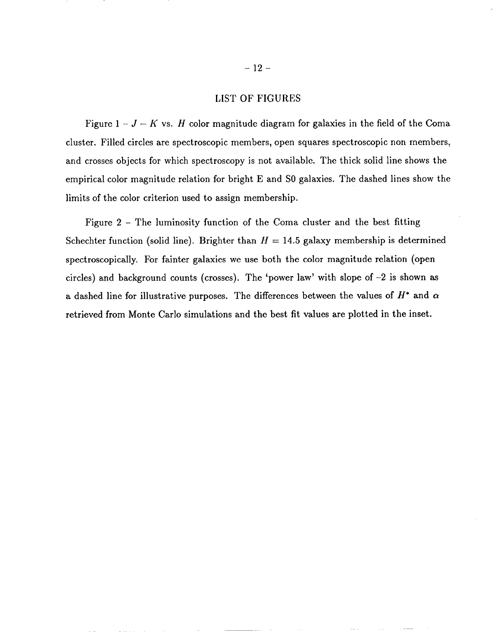## LIST OF FIGURES

Figure  $1-J-K$  vs. H color magnitude diagram for galaxies in the field of the Coma cluster. Filled circles are spectroscopic members, open squares spectroscopic non members, and crosses objects for which spectroscopy is not available. The thick solid line shows the empirical color magnitude relation for bright E and SO galaxies. The dashed lines show the limits of the color criterion used to assign membership.

Figure 2- The luminosity function of the Coma cluster and the best fitting Schechter function (solid line). Brighter than  $H = 14.5$  galaxy membership is determined spectroscopically. For fainter galaxies we use both the color magnitude relation (open circles) and background counts (crosses). The 'power law' with slope of –2 is shown as a dashed line for illustrative purposes. The differences between the values of  $H^*$  and  $\alpha$ retrieved from Monte Carlo simulations and the best fit values are plotted in the inset.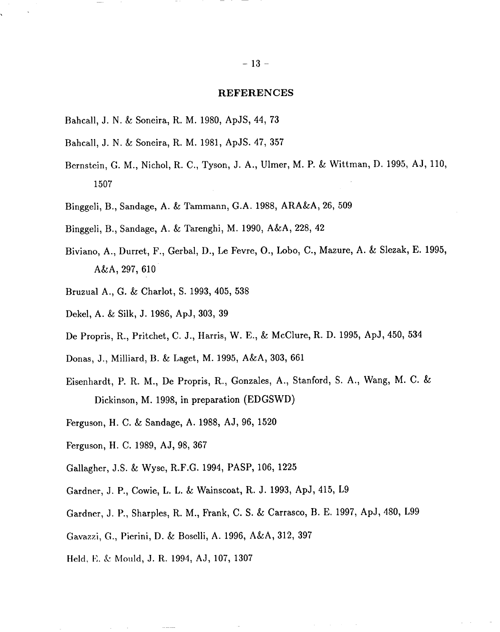#### **REFERENCES**

- Bahcall, J. N. & Soneira, R. M. 1980, ApJS, 44, 73
- Bahcall, J. N. & Soneira, R. M. 1981, ApJS. 47, 357
- Bernstein, G. M., Nichol, R. C., Tyson, J. A., Ulmer, M. P. & Wittman, D. 1995, AJ, 110, 1507
- Binggeli, B., Sandage, A. & Tammann, G.A. 1988, ARA&A, 26, 509
- Binggeli, B., Sandage, A. & Tarenghi, M. 1990, A&A, 228, 42
- Biviano, A., Durret, F., Gerbal, D., Le Fevre, O., Lobo, C., Mazure, A. & Slezak, E. 1995, A&A, 297, 610
- Bruzual A., G. & Chariot, S. 1993, 405, 538
- Dekel, A. & Silk, J. 1986, ApJ, 303, 39
- De Propris, R., Pritchet, C. J., Harris, W. E., & McClure, R. D. 1995, ApJ, 450, 534
- Donas, J., Milliard, B. & Laget, M. 1995, A&A, 303, 661
- Eisenhardt, P. R. M., De Propris, R., Gonzales, A., Stanford, *S. A., Wang, M. C. &* Dickinson, M. 1998, in preparation (EDGSWD)
- Ferguson, H. C. & Sandage, A. 1988, AJ, 96, 1520
- Ferguson, H. C. 1989, AJ, 98, 367
- Gallagher, J.S. & Wyse, R.F.G. 1994, PASP, 106, 1225
- Gardner, J. P., Cowie, L. L. & Wainscoat, R. J. 1993, ApJ, 415, L9
- Gardner, J. P., Sharples, R. M., Frank, C. S. & Carrasco, B. E, 1997, ApJ, 480, L99
- Gavazzi, G., Pierini, D. & Boselli, A. 1996, A&A, 312, 397
- Held, E. & Mould, J. R. 1994, AJ, 107, 1307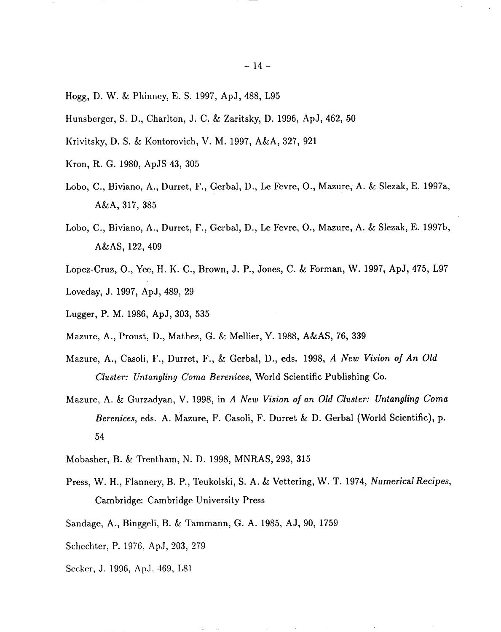- Hogg, D. W. & Phinncy, E. S. 1997, ApJ, 488, L95
- Hunsberger, S. D., Charlton, J. C. & Zaritsky, D. 1996, ApJ, 462, 50
- Krivitsky, D. S. & Kontorovich, V. M. 1997, A&A, 327, 921
- Kron, R. G. 1980, ApJS 43, 305
- Lobo, C., Biviano, A., Durret, F., Gerbal, D., Le Fevre, O., Mazure, A. & Slezak, E. 1997a, A&A, 317, 385
- Lobo, C., Biviano, A., Durret, F., Gerbal, D., Le Fevre, O., Mazure, A. & Slezak, E. 1997b, A&AS, 122, 409
- Lopez-Cruz, O., Yee, H. K. C., Brown, J. P., Jones, C. & Forman, W. 1997, ApJ, 475, L97 Loveday, J. 1997, ApJ, 489, 29
- Lugger, P. M. 1986, ApJ, 303, 535
- Mazure, A., Proust, D., Mathez, G. & Mellier, Y. 1988, A&AS, 76, 339
- Mazure, A., Casoli, F., Durret, F., & Gerbal, D., eds. 1998, *A New Vision of An O/d Cluster: Untangling Coma Berenices,* World Scientific Publishing Co.
- Mazure, A. & Gurzadyan, V. 1998, in *A New Vision of an Old Cluster: Untangling Coma Berenices,* eds. A. Mazure, F. Casoli, F. Durret & D. Gerbal (World Scientific), p. 54
- Mobasher, B. & Trentham, N. D. 1998, MNRAS, 293, 315
- Press, W. H., Flanncry, B. P., Teukolski, S. A. & Vettering, W. T. 1974, *Numerical Recipes,* Cambridge: Cambridge University Press
- Sandage, A., Binggeli, B. & Tammann, G. A. 1985, AJ, 90, 1759
- Schechter, P. 1976, ApJ, 203, 279
- Secker, J. 1996, ApJ, 469, L81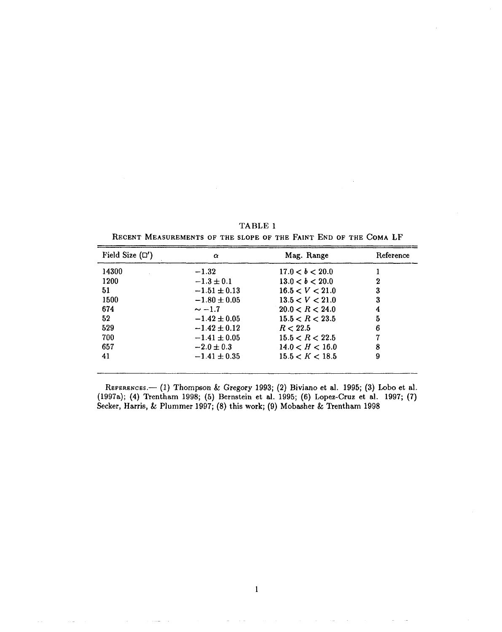| Field Size $(\Box')$ | $\alpha$         | Mag. Range      | Reference |
|----------------------|------------------|-----------------|-----------|
| 14300                | $-1.32$          | 17.0 < b < 20.0 |           |
| 1200                 | $-1.3 \pm 0.1$   | 13.0 < b < 20.0 |           |
| 51                   | $-1.51 \pm 0.13$ | 16.5 < V < 21.0 | 3         |
| 1500                 | $-1.80 \pm 0.05$ | 13.5 < V < 21.0 | 3         |
| 674                  | $\sim -1.7$      | 20.0 < R < 24.0 | 4         |
| 52                   | $-1.42 \pm 0.05$ | 15.5 < R < 23.5 | 5         |
| 529                  | $-1.42 \pm 0.12$ | R < 22.5        |           |
| 700                  | $-1.41 \pm 0.05$ | 15.5 < R < 22.5 |           |
| 657                  | $-2.0 \pm 0.3$   | 14.0 < H < 16.0 | 8         |
| 41                   | $-1.41 \pm 0.35$ | 15.5 < K < 18.5 | 9         |

TABLE 1 **RECENT MEASUREMENTS OF THE SLOPE OF THE FAINT END OF THE COMA** LF

**REFERENCES.—(1)** Thompson & Gregory 1993; (2) Biviano et al. 1995; (3) Lobo et al. (1997a); (4) **Trentham** 1998; (5) **Bernstein et al. 1995; (6) Lopez-Cruz et al. 1997; (7)** Secker, Harris, & Plummer 1997; (8) this work; (9) Mobasher & Trentham 1998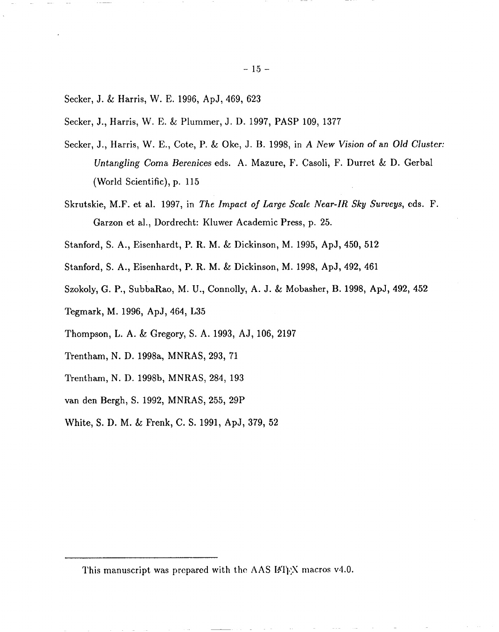- Secker, J. & Harris, W. E. 1996, ApJ, 469, 623
- Seeker, J., Harris, W. E. & Plummer, J. D. 1997, PASP 109, 1377
- Seeker, J., Harris, W. E., Cote, P. & Oke, J. B. 1998, in *A New Vision of an OM Cluster: Untangling Coma Berenices eds. A. Mazure, F. Casoli, F. Durret & D. Gerbal* (World Scientific), p. 115
- Skrutskie, M.F. et al. 1997, in *The Impact ojLarge Scale Near-IR Sky Surveys, eds.* F. Garzon et al., Dordrecht: Kluwer Academic Press, p. 25.
- Stanford, S. A., Eisenhardt, P. R. M. & Dickinson, M. 1995, ApJ, 450, 512
- Stanford, S. A., Eisenhardt, P. R. M.& Dickinson, M.l998, ApJ,492,461
- Szokoly, G. P., SubbaRao, M. U., Connolly, A. J. & Mobasher, B. 1998, ApJ, 492, 452
- Tegmark, M. 1996, ApJ, 464, L35
- Thompson, L. A. & Gregory, S. A. 1993, AJ, 106, 2197
- Trentham, N. D. 1998a, MNRAS, 293, 71
- Trentham, N. D. 1998b, MNRAS, 284, 193
- van den Bergh, S. 1992, MNRAS, 255, 29P
- White, S, D. M. & Frenk, C. S, 1991, ApJ, 379, 52

This manuscript was prepared with the AAS IA'I<sub>E</sub>X macros v4.0.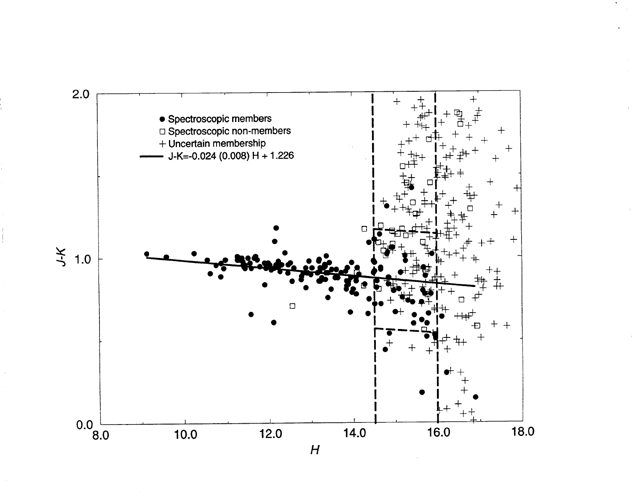